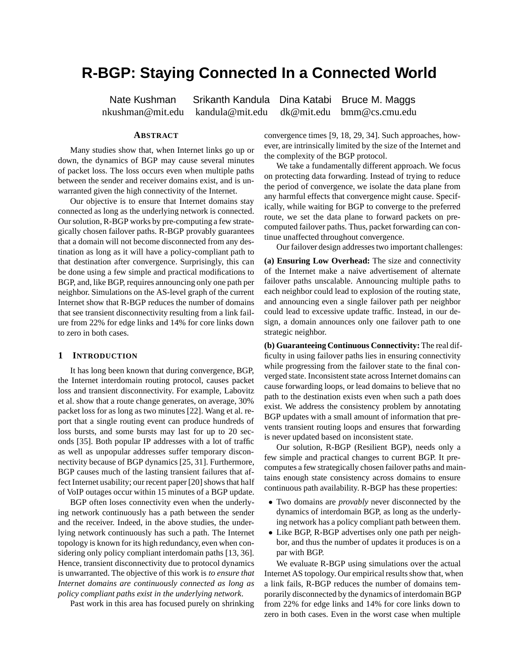# **R-BGP: Staying Connected In a Connected World**

Nate Kushman Srikanth Kandula Dina Katabi Bruce M. Maggs nkushman@mit.edu kandula@mit.edu dk@mit.edu bmm@cs.cmu.edu

# **ABSTRACT**

Many studies show that, when Internet links go up or down, the dynamics of BGP may cause several minutes of packet loss. The loss occurs even when multiple paths between the sender and receiver domains exist, and is unwarranted given the high connectivity of the Internet.

Our objective is to ensure that Internet domains stay connected as long as the underlying network is connected. Our solution, R-BGP works by pre-computing a few strategically chosen failover paths. R-BGP provably guarantees that a domain will not become disconnected from any destination as long as it will have a policy-compliant path to that destination after convergence. Surprisingly, this can be done using a few simple and practical modifications to BGP, and, like BGP, requires announcing only one path per neighbor. Simulations on the AS-level graph of the current Internet show that R-BGP reduces the number of domains that see transient disconnectivity resulting from a link failure from 22% for edge links and 14% for core links down to zero in both cases.

## **1 INTRODUCTION**

It has long been known that during convergence, BGP, the Internet interdomain routing protocol, causes packet loss and transient disconnectivity. For example, Labovitz et al. show that a route change generates, on average, 30% packet loss for as long as two minutes [22]. Wang et al. report that a single routing event can produce hundreds of loss bursts, and some bursts may last for up to 20 seconds [35]. Both popular IP addresses with a lot of traffic as well as unpopular addresses suffer temporary disconnectivity because of BGP dynamics [25, 31]. Furthermore, BGP causes much of the lasting transient failures that affect Internet usability; our recent paper [20] shows that half of VoIP outages occur within 15 minutes of a BGP update.

BGP often loses connectivity even when the underlying network continuously has a path between the sender and the receiver. Indeed, in the above studies, the underlying network continuously has such a path. The Internet topology is known for its high redundancy, even when considering only policy compliant interdomain paths [13, 36]. Hence, transient disconnectivity due to protocol dynamics is unwarranted. The objective of this work is *to ensure that Internet domains are continuously connected as long as policy compliant paths exist in the underlying network*.

Past work in this area has focused purely on shrinking

convergence times [9, 18, 29, 34]. Such approaches, however, are intrinsically limited by the size of the Internet and the complexity of the BGP protocol.

We take a fundamentally different approach. We focus on protecting data forwarding. Instead of trying to reduce the period of convergence, we isolate the data plane from any harmful effects that convergence might cause. Specifically, while waiting for BGP to converge to the preferred route, we set the data plane to forward packets on precomputed failover paths. Thus, packet forwarding can continue unaffected throughout convergence.

Our failover design addresses two important challenges:

**(a) Ensuring Low Overhead:** The size and connectivity of the Internet make a naive advertisement of alternate failover paths unscalable. Announcing multiple paths to each neighbor could lead to explosion of the routing state, and announcing even a single failover path per neighbor could lead to excessive update traffic. Instead, in our design, a domain announces only one failover path to one strategic neighbor.

**(b) Guaranteeing Continuous Connectivity:** The real difficulty in using failover paths lies in ensuring connectivity while progressing from the failover state to the final converged state. Inconsistent state across Internet domains can cause forwarding loops, or lead domains to believe that no path to the destination exists even when such a path does exist. We address the consistency problem by annotating BGP updates with a small amount of information that prevents transient routing loops and ensures that forwarding is never updated based on inconsistent state.

Our solution, R-BGP (Resilient BGP), needs only a few simple and practical changes to current BGP. It precomputes a few strategically chosen failover paths and maintains enough state consistency across domains to ensure continuous path availability. R-BGP has these properties:

- Two domains are *provably* never disconnected by the dynamics of interdomain BGP, as long as the underlying network has a policy compliant path between them.
- Like BGP, R-BGP advertises only one path per neighbor, and thus the number of updates it produces is on a par with BGP.

We evaluate R-BGP using simulations over the actual Internet AS topology. Our empirical results show that, when a link fails, R-BGP reduces the number of domains temporarily disconnected by the dynamics of interdomain BGP from 22% for edge links and 14% for core links down to zero in both cases. Even in the worst case when multiple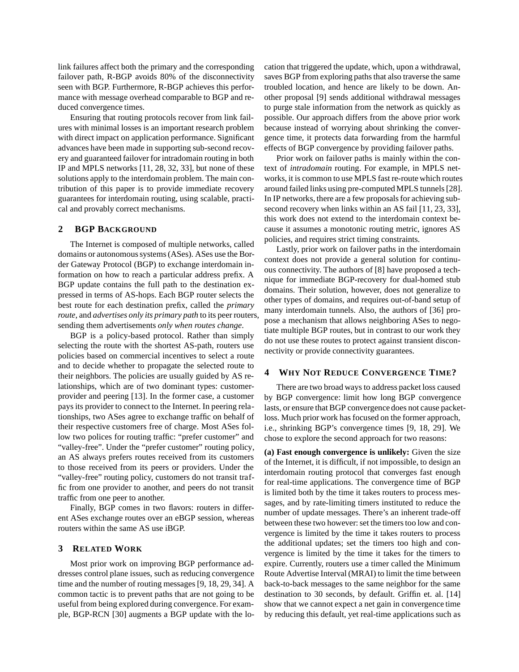link failures affect both the primary and the corresponding failover path, R-BGP avoids 80% of the disconnectivity seen with BGP. Furthermore, R-BGP achieves this performance with message overhead comparable to BGP and reduced convergence times.

Ensuring that routing protocols recover from link failures with minimal losses is an important research problem with direct impact on application performance. Significant advances have been made in supporting sub-second recovery and guaranteed failover for intradomain routing in both IP and MPLS networks [11, 28, 32, 33], but none of these solutions apply to the interdomain problem. The main contribution of this paper is to provide immediate recovery guarantees for interdomain routing, using scalable, practical and provably correct mechanisms.

## **2 BGP BACKGROUND**

The Internet is composed of multiple networks, called domains or autonomous systems (ASes). ASes use the Border Gateway Protocol (BGP) to exchange interdomain information on how to reach a particular address prefix. A BGP update contains the full path to the destination expressed in terms of AS-hops. Each BGP router selects the best route for each destination prefix, called the *primary route*, and *advertises only its primary path* to its peer routers, sending them advertisements *only when routes change*.

BGP is a policy-based protocol. Rather than simply selecting the route with the shortest AS-path, routers use policies based on commercial incentives to select a route and to decide whether to propagate the selected route to their neighbors. The policies are usually guided by AS relationships, which are of two dominant types: customerprovider and peering [13]. In the former case, a customer pays its provider to connect to the Internet. In peering relationships, two ASes agree to exchange traffic on behalf of their respective customers free of charge. Most ASes follow two polices for routing traffic: "prefer customer" and "valley-free". Under the "prefer customer" routing policy, an AS always prefers routes received from its customers to those received from its peers or providers. Under the "valley-free" routing policy, customers do not transit traffic from one provider to another, and peers do not transit traffic from one peer to another.

Finally, BGP comes in two flavors: routers in different ASes exchange routes over an eBGP session, whereas routers within the same AS use iBGP.

## **3 RELATED WORK**

Most prior work on improving BGP performance addresses control plane issues, such as reducing convergence time and the number of routing messages [9, 18, 29, 34]. A common tactic is to prevent paths that are not going to be useful from being explored during convergence. For example, BGP-RCN [30] augments a BGP update with the location that triggered the update, which, upon a withdrawal, saves BGP from exploring paths that also traverse the same troubled location, and hence are likely to be down. Another proposal [9] sends additional withdrawal messages to purge stale information from the network as quickly as possible. Our approach differs from the above prior work because instead of worrying about shrinking the convergence time, it protects data forwarding from the harmful effects of BGP convergence by providing failover paths.

Prior work on failover paths is mainly within the context of *intradomain* routing. For example, in MPLS networks, it is common to use MPLS fast re-route which routes around failed links using pre-computed MPLS tunnels [28]. In IP networks, there are a few proposals for achieving subsecond recovery when links within an AS fail [11, 23, 33], this work does not extend to the interdomain context because it assumes a monotonic routing metric, ignores AS policies, and requires strict timing constraints.

Lastly, prior work on failover paths in the interdomain context does not provide a general solution for continuous connectivity. The authors of [8] have proposed a technique for immediate BGP-recovery for dual-homed stub domains. Their solution, however, does not generalize to other types of domains, and requires out-of-band setup of many interdomain tunnels. Also, the authors of [36] propose a mechanism that allows neighboring ASes to negotiate multiple BGP routes, but in contrast to our work they do not use these routes to protect against transient disconnectivity or provide connectivity guarantees.

## **4 WHY NOT REDUCE CONVERGENCE TIME?**

There are two broad ways to address packet loss caused by BGP convergence: limit how long BGP convergence lasts, or ensure that BGP convergence does not cause packetloss. Much prior work has focused on the former approach, i.e., shrinking BGP's convergence times [9, 18, 29]. We chose to explore the second approach for two reasons:

**(a) Fast enough convergence is unlikely:** Given the size of the Internet, it is difficult, if not impossible, to design an interdomain routing protocol that converges fast enough for real-time applications. The convergence time of BGP is limited both by the time it takes routers to process messages, and by rate-limiting timers instituted to reduce the number of update messages. There's an inherent trade-off between these two however: set the timers too low and convergence is limited by the time it takes routers to process the additional updates; set the timers too high and convergence is limited by the time it takes for the timers to expire. Currently, routers use a timer called the Minimum Route Advertise Interval (MRAI) to limit the time between back-to-back messages to the same neighbor for the same destination to 30 seconds, by default. Griffin et. al. [14] show that we cannot expect a net gain in convergence time by reducing this default, yet real-time applications such as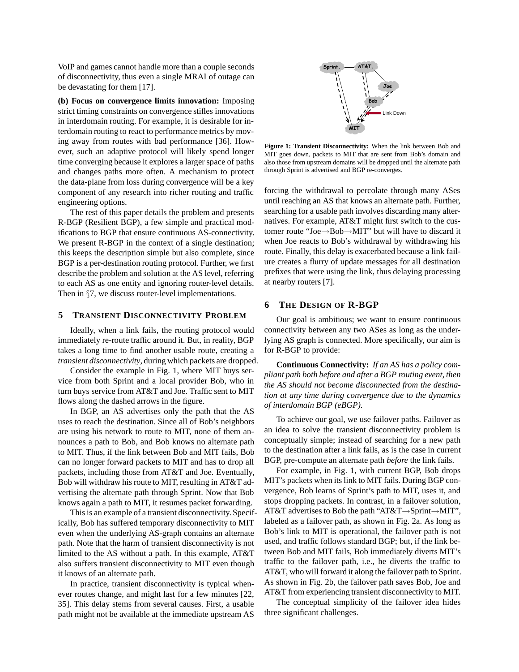VoIP and games cannot handle more than a couple seconds of disconnectivity, thus even a single MRAI of outage can be devastating for them [17].

**(b) Focus on convergence limits innovation:** Imposing strict timing constraints on convergence stifles innovations in interdomain routing. For example, it is desirable for interdomain routing to react to performance metrics by moving away from routes with bad performance [36]. However, such an adaptive protocol will likely spend longer time converging because it explores a larger space of paths and changes paths more often. A mechanism to protect the data-plane from loss during convergence will be a key component of any research into richer routing and traffic engineering options.

The rest of this paper details the problem and presents R-BGP (Resilient BGP), a few simple and practical modifications to BGP that ensure continuous AS-connectivity. We present R-BGP in the context of a single destination; this keeps the description simple but also complete, since BGP is a per-destination routing protocol. Further, we first describe the problem and solution at the AS level, referring to each AS as one entity and ignoring router-level details. Then in §7, we discuss router-level implementations.

## **5 TRANSIENT DISCONNECTIVITY PROBLEM**

Ideally, when a link fails, the routing protocol would immediately re-route traffic around it. But, in reality, BGP takes a long time to find another usable route, creating a *transient disconnectivity*, during which packets are dropped.

Consider the example in Fig. 1, where MIT buys service from both Sprint and a local provider Bob, who in turn buys service from AT&T and Joe. Traffic sent to MIT flows along the dashed arrows in the figure.

In BGP, an AS advertises only the path that the AS uses to reach the destination. Since all of Bob's neighbors are using his network to route to MIT, none of them announces a path to Bob, and Bob knows no alternate path to MIT. Thus, if the link between Bob and MIT fails, Bob can no longer forward packets to MIT and has to drop all packets, including those from AT&T and Joe. Eventually, Bob will withdraw his route to MIT, resulting in AT&T advertising the alternate path through Sprint. Now that Bob knows again a path to MIT, it resumes packet forwarding.

This is an example of a transient disconnectivity. Specifically, Bob has suffered temporary disconnectivity to MIT even when the underlying AS-graph contains an alternate path. Note that the harm of transient disconnectivity is not limited to the AS without a path. In this example, AT&T also suffers transient disconnectivity to MIT even though it knows of an alternate path.

In practice, transient disconnectivity is typical whenever routes change, and might last for a few minutes [22, 35]. This delay stems from several causes. First, a usable path might not be available at the immediate upstream AS



**Figure 1: Transient Disconnectivity:** When the link between Bob and MIT goes down, packets to MIT that are sent from Bob's domain and also those from upstream domains will be dropped until the alternate path through Sprint is advertised and BGP re-converges.

forcing the withdrawal to percolate through many ASes until reaching an AS that knows an alternate path. Further, searching for a usable path involves discarding many alternatives. For example, AT&T might first switch to the customer route "Joe→Bob→MIT" but will have to discard it when Joe reacts to Bob's withdrawal by withdrawing his route. Finally, this delay is exacerbated because a link failure creates a flurry of update messages for all destination prefixes that were using the link, thus delaying processing at nearby routers [7].

## **6 THE DESIGN OF R-BGP**

Our goal is ambitious; we want to ensure continuous connectivity between any two ASes as long as the underlying AS graph is connected. More specifically, our aim is for R-BGP to provide:

**Continuous Connectivity:** *If an AS has a policy compliant path both before and after a BGP routing event, then the AS should not become disconnected from the destination at any time during convergence due to the dynamics of interdomain BGP (eBGP).*

To achieve our goal, we use failover paths. Failover as an idea to solve the transient disconnectivity problem is conceptually simple; instead of searching for a new path to the destination after a link fails, as is the case in current BGP, pre-compute an alternate path *before* the link fails.

For example, in Fig. 1, with current BGP, Bob drops MIT's packets when its link to MIT fails. During BGP convergence, Bob learns of Sprint's path to MIT, uses it, and stops dropping packets. In contrast, in a failover solution, AT&T advertises to Bob the path "AT&T→Sprint→MIT", labeled as a failover path, as shown in Fig. 2a. As long as Bob's link to MIT is operational, the failover path is not used, and traffic follows standard BGP; but, if the link between Bob and MIT fails, Bob immediately diverts MIT's traffic to the failover path, i.e., he diverts the traffic to AT&T, who will forward it along the failover path to Sprint. As shown in Fig. 2b, the failover path saves Bob, Joe and AT&T from experiencing transient disconnectivity to MIT.

The conceptual simplicity of the failover idea hides three significant challenges.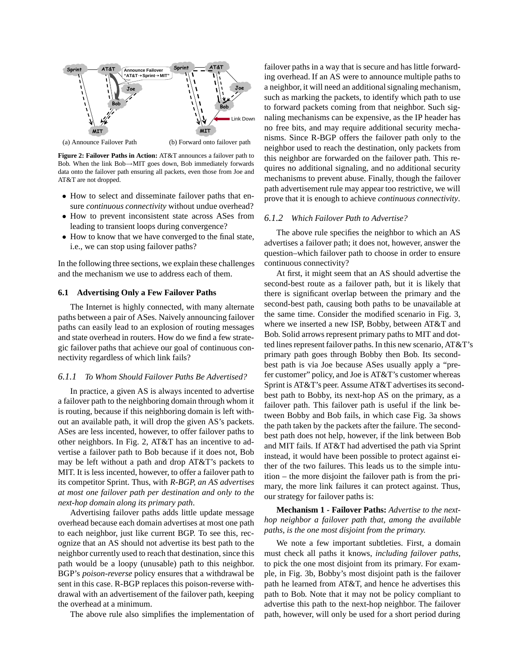

**Figure 2: Failover Paths in Action:** AT&T announces a failover path to Bob. When the link Bob→MIT goes down, Bob immediately forwards data onto the failover path ensuring all packets, even those from Joe and

AT&T are not dropped.

- How to select and disseminate failover paths that ensure *continuous connectivity* without undue overhead?
- How to prevent inconsistent state across ASes from leading to transient loops during convergence?
- How to know that we have converged to the final state, i.e., we can stop using failover paths?

In the following three sections, we explain these challenges and the mechanism we use to address each of them.

## **6.1 Advertising Only a Few Failover Paths**

The Internet is highly connected, with many alternate paths between a pair of ASes. Naively announcing failover paths can easily lead to an explosion of routing messages and state overhead in routers. How do we find a few strategic failover paths that achieve our goal of continuous connectivity regardless of which link fails?

## *6.1.1 To Whom Should Failover Paths Be Advertised?*

In practice, a given AS is always incented to advertise a failover path to the neighboring domain through whom it is routing, because if this neighboring domain is left without an available path, it will drop the given AS's packets. ASes are less incented, however, to offer failover paths to other neighbors. In Fig. 2, AT&T has an incentive to advertise a failover path to Bob because if it does not, Bob may be left without a path and drop AT&T's packets to MIT. It is less incented, however, to offer a failover path to its competitor Sprint. Thus, with *R-BGP, an AS advertises at most one failover path per destination and only to the next-hop domain along its primary path*.

Advertising failover paths adds little update message overhead because each domain advertises at most one path to each neighbor, just like current BGP. To see this, recognize that an AS should not advertise its best path to the neighbor currently used to reach that destination, since this path would be a loopy (unusable) path to this neighbor. BGP's *poison-reverse* policy ensures that a withdrawal be sent in this case. R-BGP replaces this poison-reverse withdrawal with an advertisement of the failover path, keeping the overhead at a minimum.

The above rule also simplifies the implementation of

failover paths in a way that is secure and has little forwarding overhead. If an AS were to announce multiple paths to a neighbor, it will need an additional signaling mechanism, such as marking the packets, to identify which path to use to forward packets coming from that neighbor. Such signaling mechanisms can be expensive, as the IP header has no free bits, and may require additional security mechanisms. Since R-BGP offers the failover path only to the neighbor used to reach the destination, only packets from this neighbor are forwarded on the failover path. This requires no additional signaling, and no additional security mechanisms to prevent abuse. Finally, though the failover path advertisement rule may appear too restrictive, we will prove that it is enough to achieve *continuous connectivity*.

#### *6.1.2 Which Failover Path to Advertise?*

The above rule specifies the neighbor to which an AS advertises a failover path; it does not, however, answer the question–which failover path to choose in order to ensure continuous connectivity?

At first, it might seem that an AS should advertise the second-best route as a failover path, but it is likely that there is significant overlap between the primary and the second-best path, causing both paths to be unavailable at the same time. Consider the modified scenario in Fig. 3, where we inserted a new ISP, Bobby, between AT&T and Bob. Solid arrows represent primary paths to MIT and dotted lines represent failover paths. In this new scenario, AT&T's primary path goes through Bobby then Bob. Its secondbest path is via Joe because ASes usually apply a "prefer customer" policy, and Joe is AT&T's customer whereas Sprint is AT&T's peer. Assume AT&T advertises its secondbest path to Bobby, its next-hop AS on the primary, as a failover path. This failover path is useful if the link between Bobby and Bob fails, in which case Fig. 3a shows the path taken by the packets after the failure. The secondbest path does not help, however, if the link between Bob and MIT fails. If AT&T had advertised the path via Sprint instead, it would have been possible to protect against either of the two failures. This leads us to the simple intuition – the more disjoint the failover path is from the primary, the more link failures it can protect against. Thus, our strategy for failover paths is:

# **Mechanism 1 - Failover Paths:** *Advertise to the nexthop neighbor a failover path that, among the available paths, is the one most disjoint from the primary.*

We note a few important subtleties. First, a domain must check all paths it knows, *including failover paths*, to pick the one most disjoint from its primary. For example, in Fig. 3b, Bobby's most disjoint path is the failover path he learned from AT&T, and hence he advertises this path to Bob. Note that it may not be policy compliant to advertise this path to the next-hop neighbor. The failover path, however, will only be used for a short period during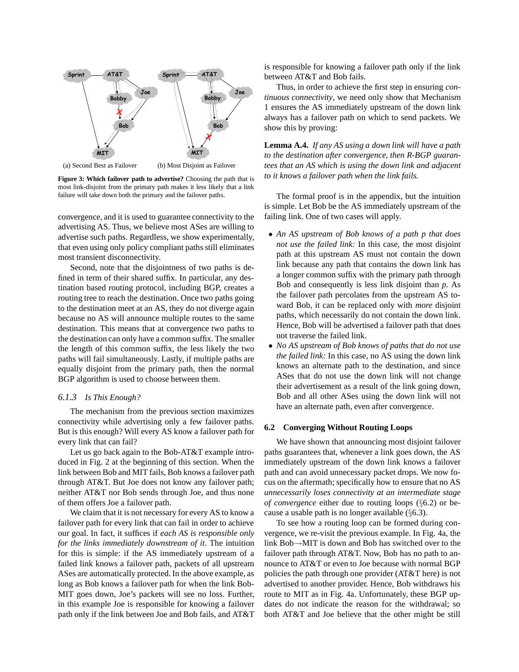

(a) Second Best as Failover (b) Most Disjoint as Failover

**Figure 3: Which failover path to advertise?** Choosing the path that is most link-disjoint from the primary path makes it less likely that a link failure will take down both the primary and the failover paths.

convergence, and it is used to guarantee connectivity to the advertising AS. Thus, we believe most ASes are willing to advertise such paths. Regardless, we show experimentally, that even using only policy compliant paths still eliminates most transient disconnectivity.

Second, note that the disjointness of two paths is defined in term of their shared suffix. In particular, any destination based routing protocol, including BGP, creates a routing tree to reach the destination. Once two paths going to the destination meet at an AS, they do not diverge again because no AS will announce multiple routes to the same destination. This means that at convergence two paths to the destination can only have a common suffix. The smaller the length of this common suffix, the less likely the two paths will fail simultaneously. Lastly, if multiple paths are equally disjoint from the primary path, then the normal BGP algorithm is used to choose between them.

## *6.1.3 Is This Enough?*

The mechanism from the previous section maximizes connectivity while advertising only a few failover paths. But is this enough? Will every AS know a failover path for every link that can fail?

Let us go back again to the Bob-AT&T example introduced in Fig. 2 at the beginning of this section. When the link between Bob and MIT fails, Bob knows a failover path through AT&T. But Joe does not know any failover path; neither AT&T nor Bob sends through Joe, and thus none of them offers Joe a failover path.

We claim that it is not necessary for every AS to know a failover path for every link that can fail in order to achieve our goal. In fact, it suffices if *each AS is responsible only for the links immediately downstream of it*. The intuition for this is simple: if the AS immediately upstream of a failed link knows a failover path, packets of all upstream ASes are automatically protected. In the above example, as long as Bob knows a failover path for when the link Bob-MIT goes down, Joe's packets will see no loss. Further, in this example Joe is responsible for knowing a failover path only if the link between Joe and Bob fails, and AT&T is responsible for knowing a failover path only if the link between AT&T and Bob fails.

Thus, in order to achieve the first step in ensuring *continuous connectivity*, we need only show that Mechanism 1 ensures the AS immediately upstream of the down link always has a failover path on which to send packets. We show this by proving:

**Lemma A.4.** *If any AS using a down link will have a path to the destination after convergence, then R-BGP guarantees that an AS which is using the down link and adjacent to it knows a failover path when the link fails.*

The formal proof is in the appendix, but the intuition is simple. Let Bob be the AS immediately upstream of the failing link. One of two cases will apply.

- *An AS upstream of Bob knows of a path p that does not use the failed link:* In this case, the most disjoint path at this upstream AS must not contain the down link because any path that contains the down link has a longer common suffix with the primary path through Bob and consequently is less link disjoint than *p*. As the failover path percolates from the upstream AS toward Bob, it can be replaced only with *more* disjoint paths, which necessarily do not contain the down link. Hence, Bob will be advertised a failover path that does not traverse the failed link.
- *No AS upstream of Bob knows of paths that do not use the failed link:* In this case, no AS using the down link knows an alternate path to the destination, and since ASes that do not use the down link will not change their advertisement as a result of the link going down, Bob and all other ASes using the down link will not have an alternate path, even after convergence.

## **6.2 Converging Without Routing Loops**

We have shown that announcing most disjoint failover paths guarantees that, whenever a link goes down, the AS immediately upstream of the down link knows a failover path and can avoid unnecessary packet drops. We now focus on the aftermath; specifically how to ensure that no AS *unnecessarily loses connectivity at an intermediate stage of convergence* either due to routing loops (§6.2) or because a usable path is no longer available (§6.3).

To see how a routing loop can be formed during convergence, we re-visit the previous example. In Fig. 4a, the link Bob→MIT is down and Bob has switched over to the failover path through AT&T. Now, Bob has no path to announce to AT&T or even to Joe because with normal BGP policies the path through one provider (AT&T here) is not advertised to another provider. Hence, Bob withdraws his route to MIT as in Fig. 4a. Unfortunately, these BGP updates do not indicate the reason for the withdrawal; so both AT&T and Joe believe that the other might be still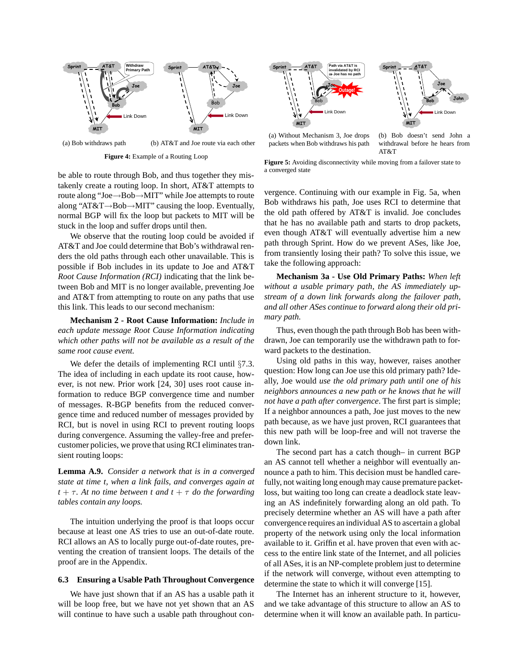

(a) Bob withdraws path (b) AT&T and Joe route via each other

**Figure 4:** Example of a Routing Loop

be able to route through Bob, and thus together they mistakenly create a routing loop. In short, AT&T attempts to route along "Joe→Bob→MIT" while Joe attempts to route along "AT&T→Bob→MIT" causing the loop. Eventually, normal BGP will fix the loop but packets to MIT will be stuck in the loop and suffer drops until then.

We observe that the routing loop could be avoided if AT&T and Joe could determine that Bob's withdrawal renders the old paths through each other unavailable. This is possible if Bob includes in its update to Joe and AT&T *Root Cause Information (RCI)* indicating that the link between Bob and MIT is no longer available, preventing Joe and AT&T from attempting to route on any paths that use this link. This leads to our second mechanism:

**Mechanism 2 - Root Cause Information:** *Include in each update message Root Cause Information indicating which other paths will not be available as a result of the same root cause event.*

We defer the details of implementing RCI until §7.3. The idea of including in each update its root cause, however, is not new. Prior work [24, 30] uses root cause information to reduce BGP convergence time and number of messages. R-BGP benefits from the reduced convergence time and reduced number of messages provided by RCI, but is novel in using RCI to prevent routing loops during convergence. Assuming the valley-free and prefercustomer policies, we prove that using RCI eliminates transient routing loops:

**Lemma A.9.** *Consider a network that is in a converged state at time t, when a link fails, and converges again at*  $t + \tau$ . At no time between t and  $t + \tau$  *do the forwarding tables contain any loops.*

The intuition underlying the proof is that loops occur because at least one AS tries to use an out-of-date route. RCI allows an AS to locally purge out-of-date routes, preventing the creation of transient loops. The details of the proof are in the Appendix.

## **6.3 Ensuring a Usable Path Throughout Convergence**

We have just shown that if an AS has a usable path it will be loop free, but we have not yet shown that an AS will continue to have such a usable path throughout con-



(a) Without Mechanism 3, Joe drops packets when Bob withdraws his path

(b) Bob doesn't send John a withdrawal before he hears from AT&T

Figure 5: Avoiding disconnectivity while moving from a failover state to a converged state

vergence. Continuing with our example in Fig. 5a, when Bob withdraws his path, Joe uses RCI to determine that the old path offered by AT&T is invalid. Joe concludes that he has no available path and starts to drop packets, even though AT&T will eventually advertise him a new path through Sprint. How do we prevent ASes, like Joe, from transiently losing their path? To solve this issue, we take the following approach:

**Mechanism 3a - Use Old Primary Paths:** *When left without a usable primary path, the AS immediately upstream of a down link forwards along the failover path, and all other ASes continue to forward along their old primary path.*

Thus, even though the path through Bob has been withdrawn, Joe can temporarily use the withdrawn path to forward packets to the destination.

Using old paths in this way, however, raises another question: How long can Joe use this old primary path? Ideally, Joe would *use the old primary path until one of his neighbors announces a new path or he knows that he will not have a path after convergence*. The first part is simple; If a neighbor announces a path, Joe just moves to the new path because, as we have just proven, RCI guarantees that this new path will be loop-free and will not traverse the down link.

The second part has a catch though– in current BGP an AS cannot tell whether a neighbor will eventually announce a path to him. This decision must be handled carefully, not waiting long enough may cause premature packetloss, but waiting too long can create a deadlock state leaving an AS indefinitely forwarding along an old path. To precisely determine whether an AS will have a path after convergence requires an individual AS to ascertain a global property of the network using only the local information available to it. Griffin et al. have proven that even with access to the entire link state of the Internet, and all policies of all ASes, it is an NP-complete problem just to determine if the network will converge, without even attempting to determine the state to which it will converge [15].

The Internet has an inherent structure to it, however, and we take advantage of this structure to allow an AS to determine when it will know an available path. In particu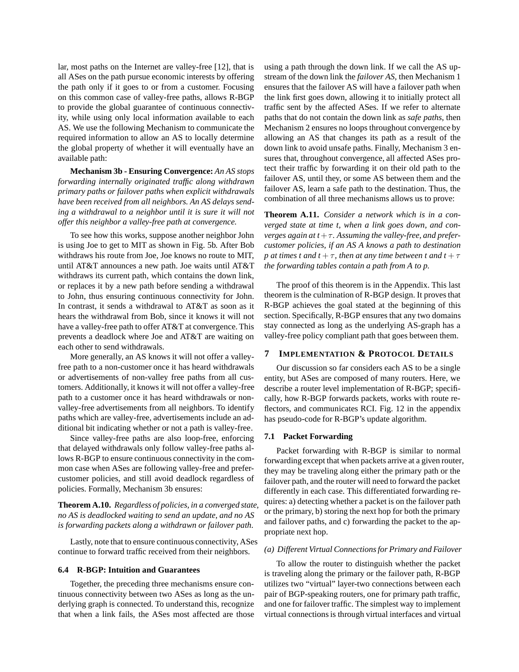lar, most paths on the Internet are valley-free [12], that is all ASes on the path pursue economic interests by offering the path only if it goes to or from a customer. Focusing on this common case of valley-free paths, allows R-BGP to provide the global guarantee of continuous connectivity, while using only local information available to each AS. We use the following Mechanism to communicate the required information to allow an AS to locally determine the global property of whether it will eventually have an available path:

**Mechanism 3b - Ensuring Convergence:** *An AS stops forwarding internally originated traffic along withdrawn primary paths or failover paths when explicit withdrawals have been received from all neighbors. An AS delays sending a withdrawal to a neighbor until it is sure it will not offer this neighbor a valley-free path at convergence.*

To see how this works, suppose another neighbor John is using Joe to get to MIT as shown in Fig. 5b. After Bob withdraws his route from Joe, Joe knows no route to MIT, until AT&T announces a new path. Joe waits until AT&T withdraws its current path, which contains the down link, or replaces it by a new path before sending a withdrawal to John, thus ensuring continuous connectivity for John. In contrast, it sends a withdrawal to AT&T as soon as it hears the withdrawal from Bob, since it knows it will not have a valley-free path to offer AT&T at convergence. This prevents a deadlock where Joe and AT&T are waiting on each other to send withdrawals.

More generally, an AS knows it will not offer a valleyfree path to a non-customer once it has heard withdrawals or advertisements of non-valley free paths from all customers. Additionally, it knows it will not offer a valley-free path to a customer once it has heard withdrawals or nonvalley-free advertisements from all neighbors. To identify paths which are valley-free, advertisements include an additional bit indicating whether or not a path is valley-free.

Since valley-free paths are also loop-free, enforcing that delayed withdrawals only follow valley-free paths allows R-BGP to ensure continuous connectivity in the common case when ASes are following valley-free and prefercustomer policies, and still avoid deadlock regardless of policies. Formally, Mechanism 3b ensures:

**Theorem A.10.** *Regardless of policies, in a converged state, no AS is deadlocked waiting to send an update, and no AS is forwarding packets along a withdrawn or failover path.*

Lastly, note that to ensure continuous connectivity, ASes continue to forward traffic received from their neighbors.

## **6.4 R-BGP: Intuition and Guarantees**

Together, the preceding three mechanisms ensure continuous connectivity between two ASes as long as the underlying graph is connected. To understand this, recognize that when a link fails, the ASes most affected are those using a path through the down link. If we call the AS upstream of the down link the *failover AS*, then Mechanism 1 ensures that the failover AS will have a failover path when the link first goes down, allowing it to initially protect all traffic sent by the affected ASes. If we refer to alternate paths that do not contain the down link as *safe paths*, then Mechanism 2 ensures no loops throughout convergence by allowing an AS that changes its path as a result of the down link to avoid unsafe paths. Finally, Mechanism 3 ensures that, throughout convergence, all affected ASes protect their traffic by forwarding it on their old path to the failover AS, until they, or some AS between them and the failover AS, learn a safe path to the destination. Thus, the combination of all three mechanisms allows us to prove:

**Theorem A.11.** *Consider a network which is in a converged state at time t, when a link goes down, and converges again at t*+τ*. Assuming the valley-free, and prefercustomer policies, if an AS A knows a path to destination p* at times t and  $t + \tau$ , then at any time between t and  $t + \tau$ *the forwarding tables contain a path from A to p.*

The proof of this theorem is in the Appendix. This last theorem is the culmination of R-BGP design. It proves that R-BGP achieves the goal stated at the beginning of this section. Specifically, R-BGP ensures that any two domains stay connected as long as the underlying AS-graph has a valley-free policy compliant path that goes between them.

## **7 IMPLEMENTATION & PROTOCOL DETAILS**

Our discussion so far considers each AS to be a single entity, but ASes are composed of many routers. Here, we describe a router level implementation of R-BGP; specifically, how R-BGP forwards packets, works with route reflectors, and communicates RCI. Fig. 12 in the appendix has pseudo-code for R-BGP's update algorithm.

## **7.1 Packet Forwarding**

Packet forwarding with R-BGP is similar to normal forwarding except that when packets arrive at a given router, they may be traveling along either the primary path or the failover path, and the router will need to forward the packet differently in each case. This differentiated forwarding requires: a) detecting whether a packet is on the failover path or the primary, b) storing the next hop for both the primary and failover paths, and c) forwarding the packet to the appropriate next hop.

## *(a) Different Virtual Connections for Primary and Failover*

To allow the router to distinguish whether the packet is traveling along the primary or the failover path, R-BGP utilizes two "virtual" layer-two connections between each pair of BGP-speaking routers, one for primary path traffic, and one for failover traffic. The simplest way to implement virtual connections is through virtual interfaces and virtual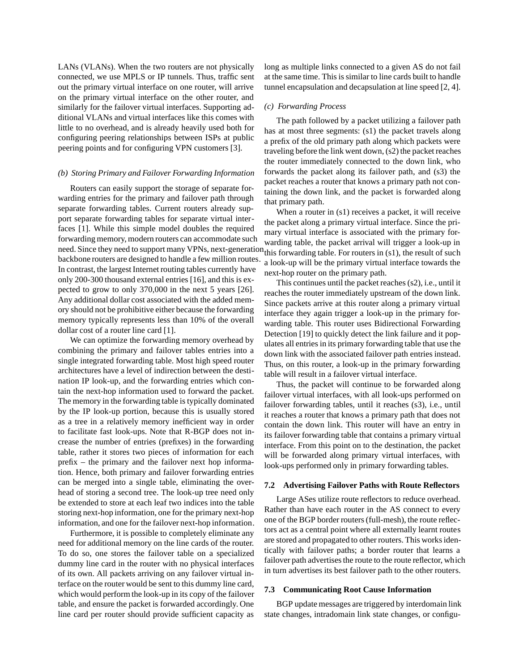LANs (VLANs). When the two routers are not physically connected, we use MPLS or IP tunnels. Thus, traffic sent out the primary virtual interface on one router, will arrive on the primary virtual interface on the other router, and similarly for the failover virtual interfaces. Supporting additional VLANs and virtual interfaces like this comes with little to no overhead, and is already heavily used both for configuring peering relationships between ISPs at public peering points and for configuring VPN customers [3].

## *(b) Storing Primary and Failover Forwarding Information*

Routers can easily support the storage of separate forwarding entries for the primary and failover path through separate forwarding tables. Current routers already support separate forwarding tables for separate virtual interfaces [1]. While this simple model doubles the required forwarding memory, modern routers can accommodate such need. Since they need to support many VPNs, next-generation this forwarding table. For routers in (s1), the result of such backbone routers are designed to handle a few million routes. In contrast, the largest Internet routing tables currently have only 200-300 thousand external entries [16], and this is expected to grow to only 370,000 in the next 5 years [26]. Any additional dollar cost associated with the added memory should not be prohibitive either because the forwarding memory typically represents less than 10% of the overall dollar cost of a router line card [1].

We can optimize the forwarding memory overhead by combining the primary and failover tables entries into a single integrated forwarding table. Most high speed router architectures have a level of indirection between the destination IP look-up, and the forwarding entries which contain the next-hop information used to forward the packet. The memory in the forwarding table is typically dominated by the IP look-up portion, because this is usually stored as a tree in a relatively memory inefficient way in order to facilitate fast look-ups. Note that R-BGP does not increase the number of entries (prefixes) in the forwarding table, rather it stores two pieces of information for each prefix – the primary and the failover next hop information. Hence, both primary and failover forwarding entries can be merged into a single table, eliminating the overhead of storing a second tree. The look-up tree need only be extended to store at each leaf two indices into the table storing next-hop information, one for the primary next-hop information, and one for the failover next-hop information.

Furthermore, it is possible to completely eliminate any need for additional memory on the line cards of the router. To do so, one stores the failover table on a specialized dummy line card in the router with no physical interfaces of its own. All packets arriving on any failover virtual interface on the router would be sent to this dummy line card, which would perform the look-up in its copy of the failover table, and ensure the packet is forwarded accordingly. One line card per router should provide sufficient capacity as long as multiple links connected to a given AS do not fail at the same time. This is similar to line cards built to handle tunnel encapsulation and decapsulation at line speed [2, 4].

#### *(c) Forwarding Process*

The path followed by a packet utilizing a failover path has at most three segments: (s1) the packet travels along a prefix of the old primary path along which packets were traveling before the link went down, (s2) the packet reaches the router immediately connected to the down link, who forwards the packet along its failover path, and (s3) the packet reaches a router that knows a primary path not containing the down link, and the packet is forwarded along that primary path.

When a router in (s1) receives a packet, it will receive the packet along a primary virtual interface. Since the primary virtual interface is associated with the primary forwarding table, the packet arrival will trigger a look-up in a look-up will be the primary virtual interface towards the next-hop router on the primary path.

This continues until the packet reaches (s2), i.e., until it reaches the router immediately upstream of the down link. Since packets arrive at this router along a primary virtual interface they again trigger a look-up in the primary forwarding table. This router uses Bidirectional Forwarding Detection [19] to quickly detect the link failure and it populates all entries in its primary forwarding table that use the down link with the associated failover path entries instead. Thus, on this router, a look-up in the primary forwarding table will result in a failover virtual interface.

Thus, the packet will continue to be forwarded along failover virtual interfaces, with all look-ups performed on failover forwarding tables, until it reaches (s3), i.e., until it reaches a router that knows a primary path that does not contain the down link. This router will have an entry in its failover forwarding table that contains a primary virtual interface. From this point on to the destination, the packet will be forwarded along primary virtual interfaces, with look-ups performed only in primary forwarding tables.

## **7.2 Advertising Failover Paths with Route Reflectors**

Large ASes utilize route reflectors to reduce overhead. Rather than have each router in the AS connect to every one of the BGP border routers (full-mesh), the route reflectors act as a central point where all externally learnt routes are stored and propagated to other routers. This works identically with failover paths; a border router that learns a failover path advertises the route to the route reflector, which in turn advertises its best failover path to the other routers.

## **7.3 Communicating Root Cause Information**

BGP update messages are triggered by interdomain link state changes, intradomain link state changes, or configu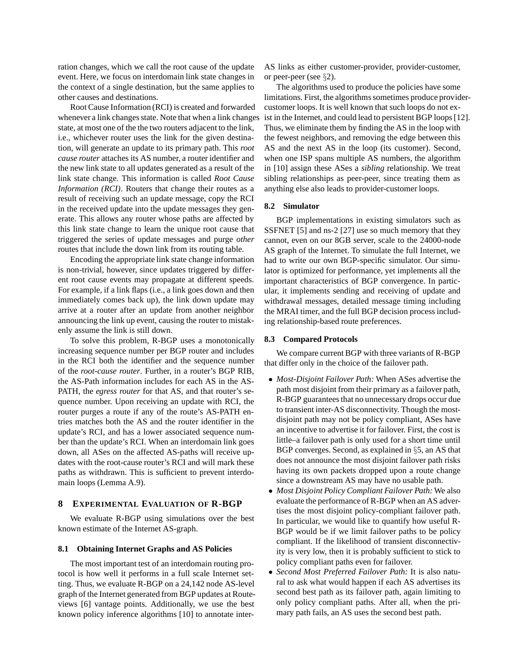ration changes, which we call the root cause of the update event. Here, we focus on interdomain link state changes in the context of a single destination, but the same applies to other causes and destinations.

Root Cause Information (RCI) is created and forwarded whenever a link changes state. Note that when a link changes state, at most one of the the two routers adjacent to the link, i.e., whichever router uses the link for the given destination, will generate an update to its primary path. This *root cause router* attaches its AS number, a router identifier and the new link state to all updates generated as a result of the link state change. This information is called *Root Cause Information (RCI)*. Routers that change their routes as a result of receiving such an update message, copy the RCI in the received update into the update messages they generate. This allows any router whose paths are affected by this link state change to learn the unique root cause that triggered the series of update messages and purge *other* routes that include the down link from its routing table.

Encoding the appropriate link state change information is non-trivial, however, since updates triggered by different root cause events may propagate at different speeds. For example, if a link flaps (i.e., a link goes down and then immediately comes back up), the link down update may arrive at a router after an update from another neighbor announcing the link up event, causing the router to mistakenly assume the link is still down.

To solve this problem, R-BGP uses a monotonically increasing sequence number per BGP router and includes in the RCI both the identifier and the sequence number of the *root-cause router*. Further, in a router's BGP RIB, the AS-Path information includes for each AS in the AS-PATH, the *egress router* for that AS, and that router's sequence number. Upon receiving an update with RCI, the router purges a route if any of the route's AS-PATH entries matches both the AS and the router identifier in the update's RCI, and has a lower associated sequence number than the update's RCI. When an interdomain link goes down, all ASes on the affected AS-paths will receive updates with the root-cause router's RCI and will mark these paths as withdrawn. This is sufficient to prevent interdomain loops (Lemma A.9).

#### **8 EXPERIMENTAL EVALUATION OF R-BGP**

We evaluate R-BGP using simulations over the best known estimate of the Internet AS-graph.

## **8.1 Obtaining Internet Graphs and AS Policies**

The most important test of an interdomain routing protocol is how well it performs in a full scale Internet setting. Thus, we evaluate R-BGP on a 24,142 node AS-level graph of the Internet generated from BGP updates at Routeviews [6] vantage points. Additionally, we use the best known policy inference algorithms [10] to annotate interAS links as either customer-provider, provider-customer, or peer-peer (see  $\S$ 2).

The algorithms used to produce the policies have some limitations. First, the algorithms sometimes produce providercustomer loops. It is well known that such loops do not exist in the Internet, and could lead to persistent BGP loops [12]. Thus, we eliminate them by finding the AS in the loop with the fewest neighbors, and removing the edge between this AS and the next AS in the loop (its customer). Second, when one ISP spans multiple AS numbers, the algorithm in [10] assign these ASes a *sibling* relationship. We treat sibling relationships as peer-peer, since treating them as anything else also leads to provider-customer loops.

## **8.2 Simulator**

BGP implementations in existing simulators such as SSFNET [5] and ns-2 [27] use so much memory that they cannot, even on our 8GB server, scale to the 24000-node AS graph of the Internet. To simulate the full Internet, we had to write our own BGP-specific simulator. Our simulator is optimized for performance, yet implements all the important characteristics of BGP convergence. In particular, it implements sending and receiving of update and withdrawal messages, detailed message timing including the MRAI timer, and the full BGP decision process including relationship-based route preferences.

#### **8.3 Compared Protocols**

We compare current BGP with three variants of R-BGP that differ only in the choice of the failover path.

- *Most-Disjoint Failover Path:* When ASes advertise the path most disjoint from their primary as a failover path, R-BGP guarantees that no unnecessary drops occur due to transient inter-AS disconnectivity. Though the mostdisjoint path may not be policy compliant, ASes have an incentive to advertise it for failover. First, the cost is little–a failover path is only used for a short time until BGP converges. Second, as explained in §5, an AS that does not announce the most disjoint failover path risks having its own packets dropped upon a route change since a downstream AS may have no usable path.
- *Most Disjoint Policy Compliant Failover Path:* We also evaluate the performance of R-BGP when an AS advertises the most disjoint policy-compliant failover path. In particular, we would like to quantify how useful R-BGP would be if we limit failover paths to be policy compliant. If the likelihood of transient disconnectivity is very low, then it is probably sufficient to stick to policy compliant paths even for failover.
- *Second Most Preferred Failover Path:* It is also natural to ask what would happen if each AS advertises its second best path as its failover path, again limiting to only policy compliant paths. After all, when the primary path fails, an AS uses the second best path.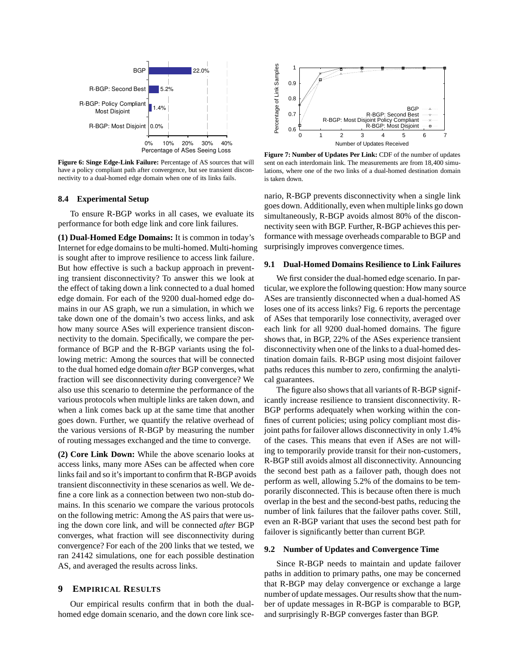

**Figure 6: Singe Edge-Link Failure:** Percentage of AS sources that will have a policy compliant path after convergence, but see transient disconnectivity to a dual-homed edge domain when one of its links fails.

#### **8.4 Experimental Setup**

To ensure R-BGP works in all cases, we evaluate its performance for both edge link and core link failures.

**(1) Dual-Homed Edge Domains:** It is common in today's Internet for edge domains to be multi-homed. Multi-homing is sought after to improve resilience to access link failure. But how effective is such a backup approach in preventing transient disconnectivity? To answer this we look at the effect of taking down a link connected to a dual homed edge domain. For each of the 9200 dual-homed edge domains in our AS graph, we run a simulation, in which we take down one of the domain's two access links, and ask how many source ASes will experience transient disconnectivity to the domain. Specifically, we compare the performance of BGP and the R-BGP variants using the following metric: Among the sources that will be connected to the dual homed edge domain *after* BGP converges, what fraction will see disconnectivity during convergence? We also use this scenario to determine the performance of the various protocols when multiple links are taken down, and when a link comes back up at the same time that another goes down. Further, we quantify the relative overhead of the various versions of R-BGP by measuring the number of routing messages exchanged and the time to converge.

**(2) Core Link Down:** While the above scenario looks at access links, many more ASes can be affected when core links fail and so it's important to confirm that R-BGP avoids transient disconnectivity in these scenarios as well. We define a core link as a connection between two non-stub domains. In this scenario we compare the various protocols on the following metric: Among the AS pairs that were using the down core link, and will be connected *after* BGP converges, what fraction will see disconnectivity during convergence? For each of the 200 links that we tested, we ran 24142 simulations, one for each possible destination AS, and averaged the results across links.

#### **9 EMPIRICAL RESULTS**

Our empirical results confirm that in both the dualhomed edge domain scenario, and the down core link sce-



**Figure 7: Number of Updates Per Link:** CDF of the number of updates sent on each interdomain link. The measurements are from 18,400 simulations, where one of the two links of a dual-homed destination domain is taken down.

nario, R-BGP prevents disconnectivity when a single link goes down. Additionally, even when multiple links go down simultaneously, R-BGP avoids almost 80% of the disconnectivity seen with BGP. Further, R-BGP achieves this performance with message overheads comparable to BGP and surprisingly improves convergence times.

## **9.1 Dual-Homed Domains Resilience to Link Failures**

We first consider the dual-homed edge scenario. In particular, we explore the following question: How many source ASes are transiently disconnected when a dual-homed AS loses one of its access links? Fig. 6 reports the percentage of ASes that temporarily lose connectivity, averaged over each link for all 9200 dual-homed domains. The figure shows that, in BGP, 22% of the ASes experience transient disconnectivity when one of the links to a dual-homed destination domain fails. R-BGP using most disjoint failover paths reduces this number to zero, confirming the analytical guarantees.

The figure also shows that all variants of R-BGP significantly increase resilience to transient disconnectivity. R-BGP performs adequately when working within the confines of current policies; using policy compliant most disjoint paths for failover allows disconnectivity in only 1.4% of the cases. This means that even if ASes are not willing to temporarily provide transit for their non-customers, R-BGP still avoids almost all disconnectivity. Announcing the second best path as a failover path, though does not perform as well, allowing 5.2% of the domains to be temporarily disconnected. This is because often there is much overlap in the best and the second-best paths, reducing the number of link failures that the failover paths cover. Still, even an R-BGP variant that uses the second best path for failover is significantly better than current BGP.

## **9.2 Number of Updates and Convergence Time**

Since R-BGP needs to maintain and update failover paths in addition to primary paths, one may be concerned that R-BGP may delay convergence or exchange a large number of update messages. Our results show that the number of update messages in R-BGP is comparable to BGP, and surprisingly R-BGP converges faster than BGP.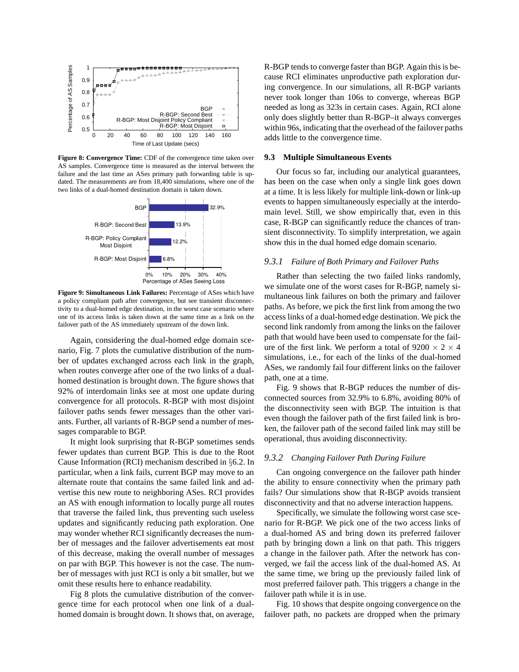

**Figure 8: Convergence Time:** CDF of the convergence time taken over AS samples. Convergence time is measured as the interval between the failure and the last time an ASes primary path forwarding table is updated. The measurements are from 18,400 simulations, where one of the two links of a dual-homed destination domain is taken down.



**Figure 9: Simultaneous Link Failures:** Percentage of ASes which have a policy compliant path after convergence, but see transient disconnectivity to a dual-homed edge destination, in the worst case scenario where one of its access links is taken down at the same time as a link on the failover path of the AS immediately upstream of the down link.

Again, considering the dual-homed edge domain scenario, Fig. 7 plots the cumulative distribution of the number of updates exchanged across each link in the graph, when routes converge after one of the two links of a dualhomed destination is brought down. The figure shows that 92% of interdomain links see at most one update during convergence for all protocols. R-BGP with most disjoint failover paths sends fewer messages than the other variants. Further, all variants of R-BGP send a number of messages comparable to BGP.

It might look surprising that R-BGP sometimes sends fewer updates than current BGP. This is due to the Root Cause Information (RCI) mechanism described in §6.2. In particular, when a link fails, current BGP may move to an alternate route that contains the same failed link and advertise this new route to neighboring ASes. RCI provides an AS with enough information to locally purge all routes that traverse the failed link, thus preventing such useless updates and significantly reducing path exploration. One may wonder whether RCI significantly decreases the number of messages and the failover advertisements eat most of this decrease, making the overall number of messages on par with BGP. This however is not the case. The number of messages with just RCI is only a bit smaller, but we omit these results here to enhance readability.

Fig 8 plots the cumulative distribution of the convergence time for each protocol when one link of a dualhomed domain is brought down. It shows that, on average,

R-BGP tends to converge faster than BGP. Again this is because RCI eliminates unproductive path exploration during convergence. In our simulations, all R-BGP variants never took longer than 106s to converge, whereas BGP needed as long as 323s in certain cases. Again, RCI alone only does slightly better than R-BGP–it always converges within 96s, indicating that the overhead of the failover paths adds little to the convergence time.

#### **9.3 Multiple Simultaneous Events**

Our focus so far, including our analytical guarantees, has been on the case when only a single link goes down at a time. It is less likely for multiple link-down or link-up events to happen simultaneously especially at the interdomain level. Still, we show empirically that, even in this case, R-BGP can significantly reduce the chances of transient disconnectivity. To simplify interpretation, we again show this in the dual homed edge domain scenario.

#### *9.3.1 Failure of Both Primary and Failover Paths*

Rather than selecting the two failed links randomly, we simulate one of the worst cases for R-BGP, namely simultaneous link failures on both the primary and failover paths. As before, we pick the first link from among the two access links of a dual-homed edge destination. We pick the second link randomly from among the links on the failover path that would have been used to compensate for the failure of the first link. We perform a total of  $9200 \times 2 \times 4$ simulations, i.e., for each of the links of the dual-homed ASes, we randomly fail four different links on the failover path, one at a time.

Fig. 9 shows that R-BGP reduces the number of disconnected sources from 32.9% to 6.8%, avoiding 80% of the disconnectivity seen with BGP. The intuition is that even though the failover path of the first failed link is broken, the failover path of the second failed link may still be operational, thus avoiding disconnectivity.

# *9.3.2 Changing Failover Path During Failure*

Can ongoing convergence on the failover path hinder the ability to ensure connectivity when the primary path fails? Our simulations show that R-BGP avoids transient disconnectivity and that no adverse interaction happens.

Specifically, we simulate the following worst case scenario for R-BGP. We pick one of the two access links of a dual-homed AS and bring down its preferred failover path by bringing down a link on that path. This triggers a change in the failover path. After the network has converged, we fail the access link of the dual-homed AS. At the same time, we bring up the previously failed link of most preferred failover path. This triggers a change in the failover path while it is in use.

Fig. 10 shows that despite ongoing convergence on the failover path, no packets are dropped when the primary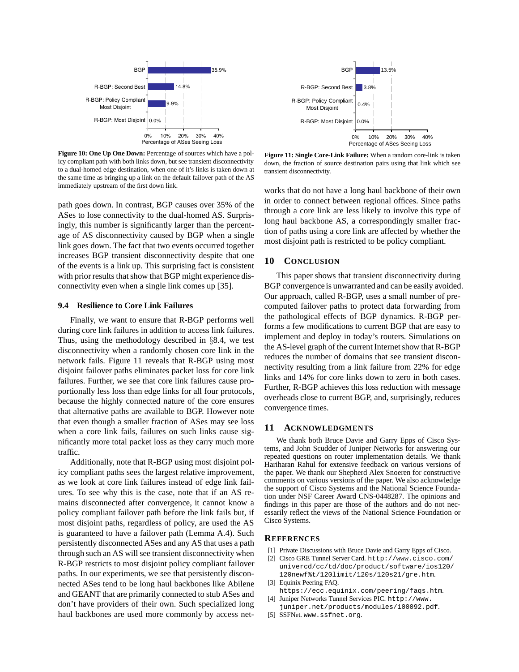

**Figure 10: One Up One Down:** Percentage of sources which have a policy compliant path with both links down, but see transient disconnectivity to a dual-homed edge destination, when one of it's links is taken down at the same time as bringing up a link on the default failover path of the AS immediately upstream of the first down link.

path goes down. In contrast, BGP causes over 35% of the ASes to lose connectivity to the dual-homed AS. Surprisingly, this number is significantly larger than the percentage of AS disconnectivity caused by BGP when a single link goes down. The fact that two events occurred together increases BGP transient disconnectivity despite that one of the events is a link up. This surprising fact is consistent with prior results that show that BGP might experience disconnectivity even when a single link comes up [35].

#### **9.4 Resilience to Core Link Failures**

Finally, we want to ensure that R-BGP performs well during core link failures in addition to access link failures. Thus, using the methodology described in §8.4, we test disconnectivity when a randomly chosen core link in the network fails. Figure 11 reveals that R-BGP using most disjoint failover paths eliminates packet loss for core link failures. Further, we see that core link failures cause proportionally less loss than edge links for all four protocols, because the highly connected nature of the core ensures that alternative paths are available to BGP. However note that even though a smaller fraction of ASes may see loss when a core link fails, failures on such links cause significantly more total packet loss as they carry much more traffic.

Additionally, note that R-BGP using most disjoint policy compliant paths sees the largest relative improvement, as we look at core link failures instead of edge link failures. To see why this is the case, note that if an AS remains disconnected after convergence, it cannot know a policy compliant failover path before the link fails but, if most disjoint paths, regardless of policy, are used the AS is guaranteed to have a failover path (Lemma A.4). Such persistently disconnected ASes and any AS that uses a path through such an AS will see transient disconnectivity when R-BGP restricts to most disjoint policy compliant failover paths. In our experiments, we see that persistently disconnected ASes tend to be long haul backbones like Abilene and GEANT that are primarily connected to stub ASes and don't have providers of their own. Such specialized long haul backbones are used more commonly by access net-



**Figure 11: Single Core-Link Failure:** When a random core-link is taken down, the fraction of source destination pairs using that link which see transient disconnectivity.

works that do not have a long haul backbone of their own in order to connect between regional offices. Since paths through a core link are less likely to involve this type of long haul backbone AS, a correspondingly smaller fraction of paths using a core link are affected by whether the most disjoint path is restricted to be policy compliant.

## **10 CONCLUSION**

This paper shows that transient disconnectivity during BGP convergence is unwarranted and can be easily avoided. Our approach, called R-BGP, uses a small number of precomputed failover paths to protect data forwarding from the pathological effects of BGP dynamics. R-BGP performs a few modifications to current BGP that are easy to implement and deploy in today's routers. Simulations on the AS-level graph of the current Internet show that R-BGP reduces the number of domains that see transient disconnectivity resulting from a link failure from 22% for edge links and 14% for core links down to zero in both cases. Further, R-BGP achieves this loss reduction with message overheads close to current BGP, and, surprisingly, reduces convergence times.

#### **11 ACKNOWLEDGMENTS**

We thank both Bruce Davie and Garry Epps of Cisco Systems, and John Scudder of Juniper Networks for answering our repeated questions on router implementation details. We thank Hariharan Rahul for extensive feedback on various versions of the paper. We thank our Shepherd Alex Snoeren for constructive comments on various versions of the paper. We also acknowledge the support of Cisco Systems and the National Science Foundation under NSF Career Award CNS-0448287. The opinions and findings in this paper are those of the authors and do not necessarily reflect the views of the National Science Foundation or Cisco Systems.

#### **REFERENCES**

- [1] Private Discussions with Bruce Davie and Garry Epps of Cisco.
- [2] Cisco GRE Tunnel Server Card. http://www.cisco.com/ univercd/cc/td/doc/product/software/ios120/ 120newf%t/120limit/120s/120s21/gre.htm.
- [3] Equinix Peering FAQ.
- https://ecc.equinix.com/peering/faqs.htm. [4] Juniper Networks Tunnel Services PIC. http://www.
- juniper.net/products/modules/100092.pdf.
- [5] SSFNet. www.ssfnet.org.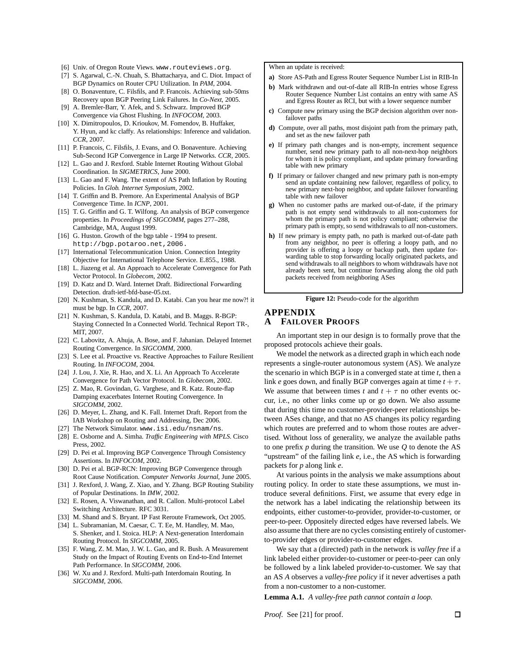[6] Univ. of Oregon Route Views. www.routeviews.org.

- [7] S. Agarwal, C.-N. Chuah, S. Bhattacharya, and C. Diot. Impact of BGP Dynamics on Router CPU Utilization. In *PAM*, 2004.
- [8] O. Bonaventure, C. Filsfils, and P. Francois. Achieving sub-50ms Recovery upon BGP Peering Link Failures. In *Co-Next*, 2005.
- [9] A. Bremler-Barr, Y. Afek, and S. Schwarz. Improved BGP Convergence via Ghost Flushing. In *INFOCOM*, 2003.
- [10] X. Dimitropoulos, D. Krioukov, M. Fomendov, B. Huffaker, Y. Hyun, and kc claffy. As relationships: Inference and validation. *CCR*, 2007.
- [11] P. Francois, C. Filsfils, J. Evans, and O. Bonaventure. Achieving Sub-Second IGP Convergence in Large IP Networks. *CCR*, 2005.
- [12] L. Gao and J. Rexford. Stable Internet Routing Without Global Coordination. In *SIGMETRICS*, June 2000.
- [13] L. Gao and F. Wang. The extent of AS Path Inflation by Routing Policies. In *Glob. Internet Symposium*, 2002.
- [14] T. Griffin and B. Premore. An Experimental Analysis of BGP Convergence Time. In *ICNP*, 2001.
- [15] T. G. Griffin and G. T. Wilfong. An analysis of BGP convergence properties. In *Proceedings of SIGCOMM*, pages 277–288, Cambridge, MA, August 1999.
- [16] G. Huston. Growth of the bgp table 1994 to present. http://bgp.potaroo.net,2006.
- [17] International Telecommunication Union. Connection Integrity Objective for International Telephone Service. E.855., 1988.
- [18] L. Jiazeng et al. An Approach to Accelerate Convergence for Path Vector Protocol. In *Globecom*, 2002.
- [19] D. Katz and D. Ward. Internet Draft. Bidirectional Forwarding Detection. draft-ietf-bfd-base-05.txt.
- [20] N. Kushman, S. Kandula, and D. Katabi. Can you hear me now?! it must be bgp. In *CCR*, 2007.
- [21] N. Kushman, S. Kandula, D. Katabi, and B. Maggs. R-BGP: Staying Connected In a Connected World. Technical Report TR-, MIT, 2007.
- [22] C. Labovitz, A. Ahuja, A. Bose, and F. Jahanian. Delayed Internet Routing Convergence. In *SIGCOMM*, 2000.
- [23] S. Lee et al. Proactive vs. Reactive Approaches to Failure Resilient Routing. In *INFOCOM*, 2004.
- [24] J. Lou, J. Xie, R. Hao, and X. Li. An Approach To Accelerate Convergence for Path Vector Protocol. In *Globecom*, 2002.
- [25] Z. Mao, R. Govindan, G. Varghese, and R. Katz. Route-flap Damping exacerbates Internet Routing Convergence. In *SIGCOMM*, 2002.
- [26] D. Meyer, L. Zhang, and K. Fall. Internet Draft. Report from the IAB Workshop on Routing and Addressing, Dec 2006.
- [27] The Network Simulator. www.isi.edu/nsnam/ns.
- [28] E. Osborne and A. Simha. *Traffic Engineering with MPLS*. Cisco Press, 2002.
- [29] D. Pei et al. Improving BGP Convergence Through Consistency Assertions. In *INFOCOM*, 2002.
- [30] D. Pei et al. BGP-RCN: Improving BGP Convergence through Root Cause Notification. *Computer Networks Journal*, June 2005.
- [31] J. Rexford, J. Wang, Z. Xiao, and Y. Zhang. BGP Routing Stability of Popular Destinations. In *IMW*, 2002.
- [32] E. Rosen, A. Viswanathan, and R. Callon. Multi-protocol Label Switching Architecture. RFC 3031.
- [33] M. Shand and S. Bryant. IP Fast Reroute Framework, Oct 2005.
- [34] L. Subramanian, M. Caesar, C. T. Ee, M. Handley, M. Mao, S. Shenker, and I. Stoica. HLP: A Next-generation Interdomain Routing Protocol. In *SIGCOMM*, 2005.
- [35] F. Wang, Z. M. Mao, J. W. L. Gao, and R. Bush. A Measurement Study on the Impact of Routing Events on End-to-End Internet Path Performance. In *SIGCOMM*, 2006.
- [36] W. Xu and J. Rexford. Multi-path Interdomain Routing. In *SIGCOMM*, 2006.

When an update is received:

- **a)** Store AS-Path and Egress Router Sequence Number List in RIB-In
- **b)** Mark withdrawn and out-of-date all RIB-In entries whose Egress Router Sequence Number List contains an entry with same AS and Egress Router as RCI, but with a lower sequence number
- **c)** Compute new primary using the BGP decision algorithm over nonfailover paths
- **d)** Compute, over all paths, most disjoint path from the primary path, and set as the new failover path
- **e)** If primary path changes and is non-empty, increment sequence number, send new primary path to all non-next-hop neighbors for whom it is policy compliant, and update primary forwarding table with new primary
- **f)** If primary or failover changed and new primary path is non-empty send an update containing new failover, regardless of policy, to new primary next-hop neighbor, and update failover forwarding table with new failover
- **g)** When no customer paths are marked out-of-date, if the primary path is not empty send withdrawals to all non-customers for whom the primary path is not policy compliant; otherwise the primary path is empty, so send withdrawals to *all* non-customers.
- **h)** If new primary is empty path, no path is marked out-of-date path from any neighbor, no peer is offering a loopy path, and no provider is offering a loopy or backup path, then update forwarding table to stop forwarding locally originated packets, and send withdrawals to all neighbors to whom withdrawals have not already been sent, but continue forwarding along the old path packets received from neighboring ASes

**Figure 12:** Pseudo-code for the algorithm

# **APPENDIX A FAILOVER PROOFS**

An important step in our design is to formally prove that the proposed protocols achieve their goals.

We model the network as a directed graph in which each node represents a single-router autonomous system (AS). We analyze the scenario in which BGP is in a converged state at time *t*, then a link *e* goes down, and finally BGP converges again at time  $t + \tau$ . We assume that between times *t* and  $t + \tau$  no other events occur, i.e., no other links come up or go down. We also assume that during this time no customer-provider-peer relationships between ASes change, and that no AS changes its policy regarding which routes are preferred and to whom those routes are advertised. Without loss of generality, we analyze the available paths to one prefix *p* during the transition. We use *Q* to denote the AS "upstream" of the failing link *e*, i.e., the AS which is forwarding packets for *p* along link *e*.

At various points in the analysis we make assumptions about routing policy. In order to state these assumptions, we must introduce several definitions. First, we assume that every edge in the network has a label indicating the relationship between its endpoints, either customer-to-provider, provider-to-customer, or peer-to-peer. Oppositely directed edges have reversed labels. We also assume that there are no cycles consisting entirely of customerto-provider edges or provider-to-customer edges.

We say that a (directed) path in the network is *valley free* if a link labeled either provider-to-customer or peer-to-peer can only be followed by a link labeled provider-to-customer. We say that an AS *A* observes a *valley-free policy* if it never advertises a path from a non-customer to a non-customer.

**Lemma A.1.** *A valley-free path cannot contain a loop.*

*Proof.* See [21] for proof.